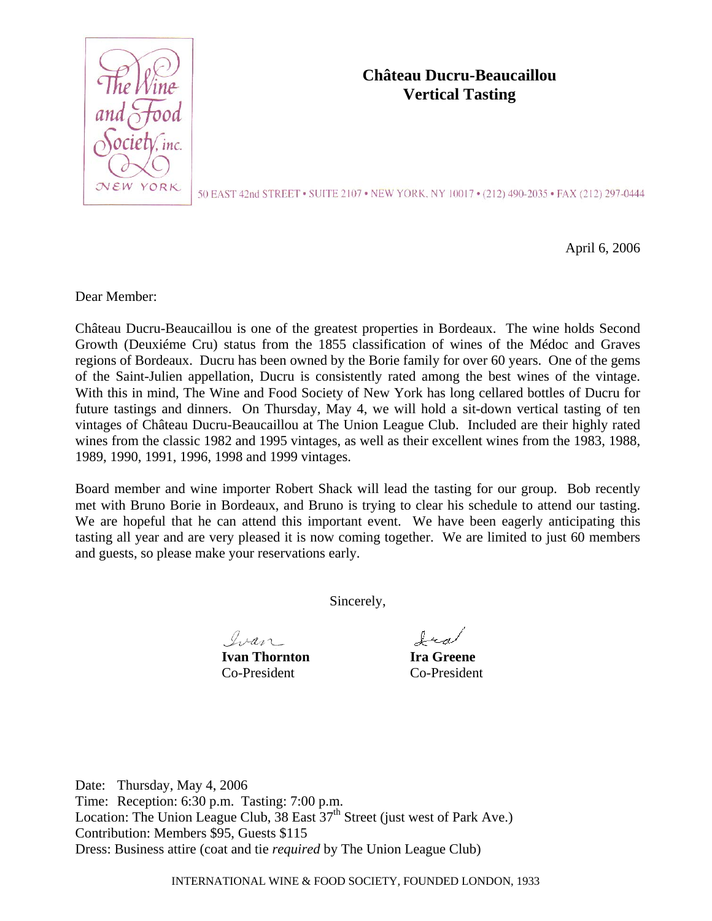

## **Château Ducru-Beaucaillou Vertical Tasting**

50 EAST 42nd STREET • SUITE 2107 • NEW YORK, NY 10017 • (212) 490-2035 • FAX (212) 297-0444

April 6, 2006

Dear Member:

Château Ducru-Beaucaillou is one of the greatest properties in Bordeaux. The wine holds Second Growth (Deuxiéme Cru) status from the 1855 classification of wines of the Médoc and Graves regions of Bordeaux. Ducru has been owned by the Borie family for over 60 years. One of the gems of the Saint-Julien appellation, Ducru is consistently rated among the best wines of the vintage. With this in mind, The Wine and Food Society of New York has long cellared bottles of Ducru for future tastings and dinners. On Thursday, May 4, we will hold a sit-down vertical tasting of ten vintages of Château Ducru-Beaucaillou at The Union League Club. Included are their highly rated wines from the classic 1982 and 1995 vintages, as well as their excellent wines from the 1983, 1988, 1989, 1990, 1991, 1996, 1998 and 1999 vintages.

Board member and wine importer Robert Shack will lead the tasting for our group. Bob recently met with Bruno Borie in Bordeaux, and Bruno is trying to clear his schedule to attend our tasting. We are hopeful that he can attend this important event. We have been eagerly anticipating this tasting all year and are very pleased it is now coming together. We are limited to just 60 members and guests, so please make your reservations early.

Sincerely,

Ivan

**Ivan Thornton Ira Greene** Co-President Co-President

Ira

Date: Thursday, May 4, 2006 Time: Reception: 6:30 p.m. Tasting: 7:00 p.m. Location: The Union League Club,  $38$  East  $37<sup>th</sup>$  Street (just west of Park Ave.) Contribution: Members \$95, Guests \$115 Dress: Business attire (coat and tie *required* by The Union League Club)

INTERNATIONAL WINE & FOOD SOCIETY, FOUNDED LONDON, 1933